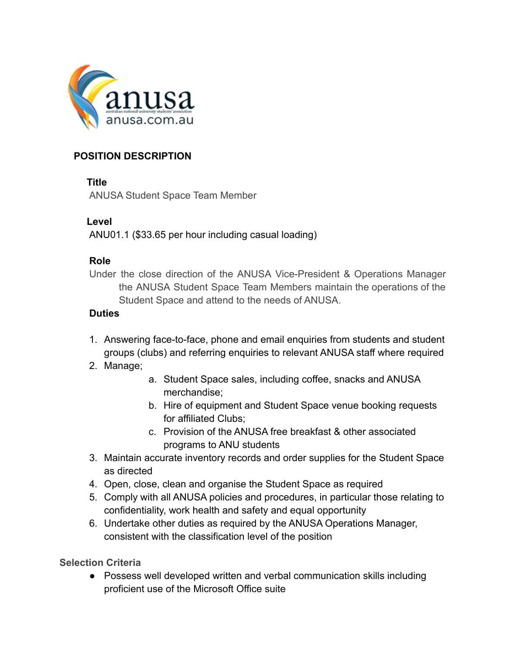

# **POSITION DESCRIPTION**

## **Title**

ANUSA Student Space Team Member

## **Level**

ANU01.1 (\$33.65 per hour including casual loading)

#### **Role**

Under the close direction of the ANUSA Vice-President & Operations Manager the ANUSA Student Space Team Members maintain the operations of the Student Space and attend to the needs of ANUSA.

## **Duties**

- 1. Answering face-to-face, phone and email enquiries from students and student groups (clubs) and referring enquiries to relevant ANUSA staff where required
- 2. Manage;
- a. Student Space sales, including coffee, snacks and ANUSA merchandise;
- b. Hire of equipment and Student Space venue booking requests for affiliated Clubs;
- c. Provision of the ANUSA free breakfast & other associated programs to ANU students
- 3. Maintain accurate inventory records and order supplies for the Student Space as directed
- 4. Open, close, clean and organise the Student Space as required
- 5. Comply with all ANUSA policies and procedures, in particular those relating to confidentiality, work health and safety and equal opportunity
- 6. Undertake other duties as required by the ANUSA Operations Manager, consistent with the classification level of the position

**Selection Criteria**

● Possess well developed written and verbal communication skills including proficient use of the Microsoft Office suite